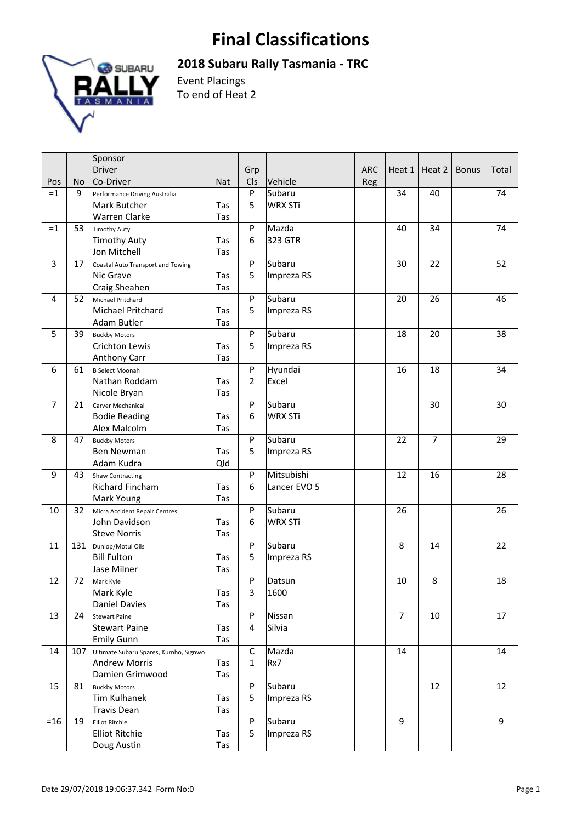## **Final Classifications**



**2018 Subaru Rally Tasmania ‐ TRC** 

Event Placings To end of Heat 2

|                |     | Sponsor                               |            |                |                |            |        |                |              |       |
|----------------|-----|---------------------------------------|------------|----------------|----------------|------------|--------|----------------|--------------|-------|
|                |     | Driver                                |            | Grp            |                | <b>ARC</b> | Heat 1 | Heat 2         | <b>Bonus</b> | Total |
| Pos            | No  | Co-Driver                             | <b>Nat</b> | Cls            | Vehicle        | Reg        |        |                |              |       |
| $=1$           | 9   | Performance Driving Australia         |            | P              | Subaru         |            | 34     | 40             |              | 74    |
|                |     | Mark Butcher                          | Tas        | 5              | <b>WRX STi</b> |            |        |                |              |       |
|                |     | Warren Clarke                         | Tas        |                |                |            |        |                |              |       |
| $=1$           | 53  | <b>Timothy Auty</b>                   |            | P              | Mazda          |            | 40     | 34             |              | 74    |
|                |     | <b>Timothy Auty</b>                   | Tas        | 6              | 323 GTR        |            |        |                |              |       |
|                |     | Jon Mitchell                          | Tas        |                |                |            |        |                |              |       |
| 3              | 17  | Coastal Auto Transport and Towing     |            | P              | Subaru         |            | 30     | 22             |              | 52    |
|                |     | Nic Grave                             | Tas        | 5              | Impreza RS     |            |        |                |              |       |
|                |     | Craig Sheahen                         | Tas        |                |                |            |        |                |              |       |
| 4              | 52  | Michael Pritchard                     |            | P              | Subaru         |            | 20     | 26             |              | 46    |
|                |     | Michael Pritchard                     | Tas        | 5              | Impreza RS     |            |        |                |              |       |
|                |     | Adam Butler                           | Tas        |                |                |            |        |                |              |       |
| 5              | 39  | <b>Buckby Motors</b>                  |            | P              | Subaru         |            | 18     | 20             |              | 38    |
|                |     | Crichton Lewis                        | Tas        | 5              | Impreza RS     |            |        |                |              |       |
|                |     | <b>Anthony Carr</b>                   | Tas        |                |                |            |        |                |              |       |
| 6              | 61  | <b>B</b> Select Moonah                |            | P              | Hyundai        |            | 16     | 18             |              | 34    |
|                |     | Nathan Roddam                         | Tas        | $\overline{2}$ | Excel          |            |        |                |              |       |
|                |     | Nicole Bryan                          | Tas        |                |                |            |        |                |              |       |
| $\overline{7}$ | 21  | Carver Mechanical                     |            | P              | Subaru         |            |        | 30             |              | 30    |
|                |     | <b>Bodie Reading</b>                  | Tas        | 6              | <b>WRX STi</b> |            |        |                |              |       |
|                |     | Alex Malcolm                          | Tas        |                |                |            |        |                |              |       |
| 8              | 47  | <b>Buckby Motors</b>                  |            | P              | Subaru         |            | 22     | $\overline{7}$ |              | 29    |
|                |     | Ben Newman                            | Tas        | 5              | Impreza RS     |            |        |                |              |       |
|                |     | Adam Kudra                            | Qld        |                |                |            |        |                |              |       |
| 9              | 43  | <b>Shaw Contracting</b>               |            | P              | Mitsubishi     |            | 12     | 16             |              | 28    |
|                |     | Richard Fincham                       | Tas        | 6              | Lancer EVO 5   |            |        |                |              |       |
|                |     | Mark Young                            | Tas        |                |                |            |        |                |              |       |
| 10             | 32  | Micra Accident Repair Centres         |            | P              | Subaru         |            | 26     |                |              | 26    |
|                |     | John Davidson                         | Tas        | 6              | <b>WRX STi</b> |            |        |                |              |       |
|                |     | <b>Steve Norris</b>                   | Tas        |                |                |            |        |                |              |       |
| 11             | 131 | Dunlop/Motul Oils                     |            | P              | Subaru         |            | 8      | 14             |              | 22    |
|                |     | <b>Bill Fulton</b>                    | Tas        | 5              | Impreza RS     |            |        |                |              |       |
|                |     | Jase Milner                           | Tas        |                |                |            |        |                |              |       |
| 12             | 72  | Mark Kyle                             |            | P              | Datsun         |            | 10     | 8              |              | 18    |
|                |     | Mark Kyle                             | Tas        | 3              | 1600           |            |        |                |              |       |
|                |     | <b>Daniel Davies</b>                  | Tas        |                |                |            |        |                |              |       |
| 13             | 24  | <b>Stewart Paine</b>                  |            | P              | Nissan         |            | 7      | 10             |              | 17    |
|                |     | <b>Stewart Paine</b>                  | Tas        | 4              | Silvia         |            |        |                |              |       |
|                |     | <b>Emily Gunn</b>                     | Tas        |                |                |            |        |                |              |       |
| 14             | 107 | Ultimate Subaru Spares, Kumho, Signwo |            | С              | Mazda          |            | 14     |                |              | 14    |
|                |     | <b>Andrew Morris</b>                  | Tas        | $\mathbf{1}$   | Rx7            |            |        |                |              |       |
|                |     | Damien Grimwood                       | Tas        |                |                |            |        |                |              |       |
| 15             | 81  | <b>Buckby Motors</b>                  |            | P              | Subaru         |            |        | 12             |              | 12    |
|                |     | <b>Tim Kulhanek</b>                   | Tas        | 5              | Impreza RS     |            |        |                |              |       |
|                |     | <b>Travis Dean</b>                    | Tas        |                |                |            |        |                |              |       |
| $=16$          | 19  | <b>Elliot Ritchie</b>                 |            | P              | Subaru         |            | 9      |                |              | 9     |
|                |     | <b>Elliot Ritchie</b>                 | Tas        | 5              | Impreza RS     |            |        |                |              |       |
|                |     | Doug Austin                           | Tas        |                |                |            |        |                |              |       |